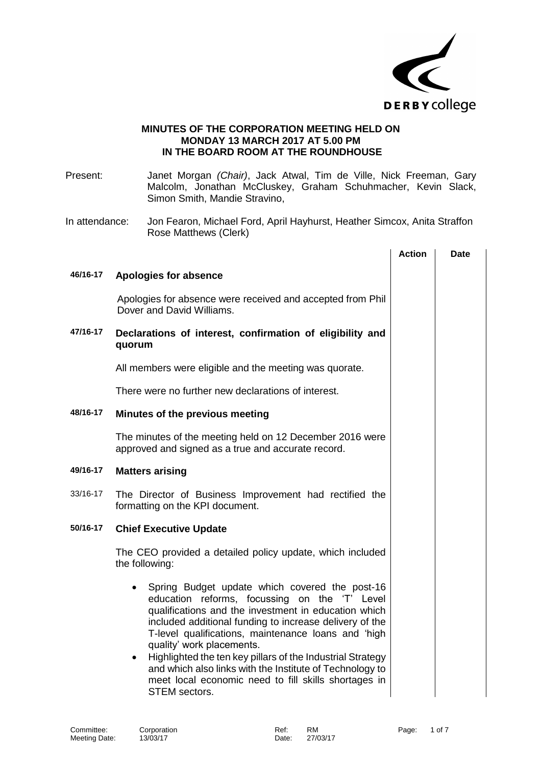

## **MINUTES OF THE CORPORATION MEETING HELD ON MONDAY 13 MARCH 2017 AT 5.00 PM IN THE BOARD ROOM AT THE ROUNDHOUSE**

Present: Janet Morgan *(Chair)*, Jack Atwal, Tim de Ville, Nick Freeman, Gary Malcolm, Jonathan McCluskey, Graham Schuhmacher, Kevin Slack, Simon Smith, Mandie Stravino,

In attendance: Jon Fearon, Michael Ford, April Hayhurst, Heather Simcox, Anita Straffon Rose Matthews (Clerk)

|          |                                                                                                                                                                                                                                                                                                                                                                                                                                                                                                                                            | <b>Action</b> | <b>Date</b> |
|----------|--------------------------------------------------------------------------------------------------------------------------------------------------------------------------------------------------------------------------------------------------------------------------------------------------------------------------------------------------------------------------------------------------------------------------------------------------------------------------------------------------------------------------------------------|---------------|-------------|
| 46/16-17 | <b>Apologies for absence</b>                                                                                                                                                                                                                                                                                                                                                                                                                                                                                                               |               |             |
|          | Apologies for absence were received and accepted from Phil<br>Dover and David Williams.                                                                                                                                                                                                                                                                                                                                                                                                                                                    |               |             |
| 47/16-17 | Declarations of interest, confirmation of eligibility and<br>quorum                                                                                                                                                                                                                                                                                                                                                                                                                                                                        |               |             |
|          | All members were eligible and the meeting was quorate.                                                                                                                                                                                                                                                                                                                                                                                                                                                                                     |               |             |
|          | There were no further new declarations of interest.                                                                                                                                                                                                                                                                                                                                                                                                                                                                                        |               |             |
| 48/16-17 | Minutes of the previous meeting                                                                                                                                                                                                                                                                                                                                                                                                                                                                                                            |               |             |
|          | The minutes of the meeting held on 12 December 2016 were<br>approved and signed as a true and accurate record.                                                                                                                                                                                                                                                                                                                                                                                                                             |               |             |
| 49/16-17 | <b>Matters arising</b>                                                                                                                                                                                                                                                                                                                                                                                                                                                                                                                     |               |             |
| 33/16-17 | The Director of Business Improvement had rectified the<br>formatting on the KPI document.                                                                                                                                                                                                                                                                                                                                                                                                                                                  |               |             |
| 50/16-17 | <b>Chief Executive Update</b>                                                                                                                                                                                                                                                                                                                                                                                                                                                                                                              |               |             |
|          | The CEO provided a detailed policy update, which included<br>the following:                                                                                                                                                                                                                                                                                                                                                                                                                                                                |               |             |
|          | Spring Budget update which covered the post-16<br>$\bullet$<br>education reforms, focussing on the 'T' Level<br>qualifications and the investment in education which<br>included additional funding to increase delivery of the<br>T-level qualifications, maintenance loans and 'high<br>quality' work placements.<br>Highlighted the ten key pillars of the Industrial Strategy<br>$\bullet$<br>and which also links with the Institute of Technology to<br>meet local economic need to fill skills shortages in<br><b>STEM</b> sectors. |               |             |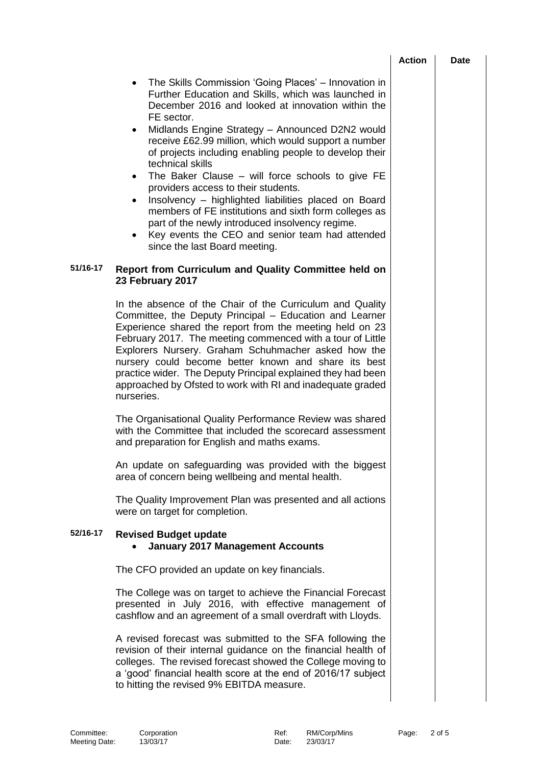| Action<br>Date |
|----------------|
|----------------|

- The Skills Commission 'Going Places' Innovation in Further Education and Skills, which was launched in December 2016 and looked at innovation within the FE sector.
- Midlands Engine Strategy Announced D2N2 would receive £62.99 million, which would support a number of projects including enabling people to develop their technical skills
- The Baker Clause will force schools to give FE providers access to their students.
- Insolvency highlighted liabilities placed on Board members of FE institutions and sixth form colleges as part of the newly introduced insolvency regime.
- Key events the CEO and senior team had attended since the last Board meeting.

## **51/16-17 Report from Curriculum and Quality Committee held on 23 February 2017**

In the absence of the Chair of the Curriculum and Quality Committee, the Deputy Principal – Education and Learner Experience shared the report from the meeting held on 23 February 2017. The meeting commenced with a tour of Little Explorers Nursery. Graham Schuhmacher asked how the nursery could become better known and share its best practice wider. The Deputy Principal explained they had been approached by Ofsted to work with RI and inadequate graded nurseries.

The Organisational Quality Performance Review was shared with the Committee that included the scorecard assessment and preparation for English and maths exams.

An update on safeguarding was provided with the biggest area of concern being wellbeing and mental health.

The Quality Improvement Plan was presented and all actions were on target for completion.

## **52/16-17 Revised Budget update January 2017 Management Accounts**

The CFO provided an update on key financials.

The College was on target to achieve the Financial Forecast presented in July 2016, with effective management of cashflow and an agreement of a small overdraft with Lloyds.

A revised forecast was submitted to the SFA following the revision of their internal guidance on the financial health of colleges. The revised forecast showed the College moving to a 'good' financial health score at the end of 2016/17 subject to hitting the revised 9% EBITDA measure.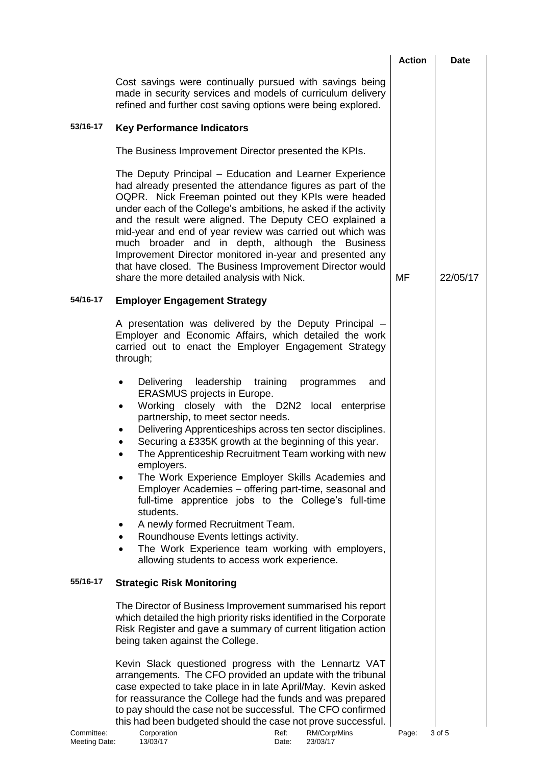|                             |                                                                                                                                                                                                                                                                                                                                                                                                                                                                                                                                                                                                                                                                                                                                                                        | <b>Action</b> | <b>Date</b> |
|-----------------------------|------------------------------------------------------------------------------------------------------------------------------------------------------------------------------------------------------------------------------------------------------------------------------------------------------------------------------------------------------------------------------------------------------------------------------------------------------------------------------------------------------------------------------------------------------------------------------------------------------------------------------------------------------------------------------------------------------------------------------------------------------------------------|---------------|-------------|
|                             | Cost savings were continually pursued with savings being<br>made in security services and models of curriculum delivery<br>refined and further cost saving options were being explored.                                                                                                                                                                                                                                                                                                                                                                                                                                                                                                                                                                                |               |             |
| 53/16-17                    | <b>Key Performance Indicators</b>                                                                                                                                                                                                                                                                                                                                                                                                                                                                                                                                                                                                                                                                                                                                      |               |             |
|                             | The Business Improvement Director presented the KPIs.                                                                                                                                                                                                                                                                                                                                                                                                                                                                                                                                                                                                                                                                                                                  |               |             |
|                             | The Deputy Principal – Education and Learner Experience<br>had already presented the attendance figures as part of the<br>OQPR. Nick Freeman pointed out they KPIs were headed<br>under each of the College's ambitions, he asked if the activity<br>and the result were aligned. The Deputy CEO explained a<br>mid-year and end of year review was carried out which was<br>much broader and in depth, although the Business<br>Improvement Director monitored in-year and presented any<br>that have closed. The Business Improvement Director would<br>share the more detailed analysis with Nick.                                                                                                                                                                  | MF            | 22/05/17    |
| 54/16-17                    | <b>Employer Engagement Strategy</b>                                                                                                                                                                                                                                                                                                                                                                                                                                                                                                                                                                                                                                                                                                                                    |               |             |
|                             | A presentation was delivered by the Deputy Principal -<br>Employer and Economic Affairs, which detailed the work<br>carried out to enact the Employer Engagement Strategy<br>through;                                                                                                                                                                                                                                                                                                                                                                                                                                                                                                                                                                                  |               |             |
|                             | Delivering<br>leadership training<br>programmes<br>and<br><b>ERASMUS</b> projects in Europe.<br>Working closely with the D2N2 local enterprise<br>$\bullet$<br>partnership, to meet sector needs.<br>Delivering Apprenticeships across ten sector disciplines.<br>٠<br>Securing a £335K growth at the beginning of this year.<br>The Apprenticeship Recruitment Team working with new<br>employers.<br>The Work Experience Employer Skills Academies and<br>Employer Academies – offering part-time, seasonal and<br>full-time apprentice jobs to the College's full-time<br>students.<br>A newly formed Recruitment Team.<br>Roundhouse Events lettings activity.<br>The Work Experience team working with employers,<br>allowing students to access work experience. |               |             |
| 55/16-17                    | <b>Strategic Risk Monitoring</b>                                                                                                                                                                                                                                                                                                                                                                                                                                                                                                                                                                                                                                                                                                                                       |               |             |
|                             | The Director of Business Improvement summarised his report<br>which detailed the high priority risks identified in the Corporate<br>Risk Register and gave a summary of current litigation action<br>being taken against the College.                                                                                                                                                                                                                                                                                                                                                                                                                                                                                                                                  |               |             |
| Committee:<br>Meeting Date: | Kevin Slack questioned progress with the Lennartz VAT<br>arrangements. The CFO provided an update with the tribunal<br>case expected to take place in in late April/May. Kevin asked<br>for reassurance the College had the funds and was prepared<br>to pay should the case not be successful. The CFO confirmed<br>this had been budgeted should the case not prove successful.<br>Corporation<br>Ref:<br>RM/Corp/Mins<br>13/03/17<br>23/03/17<br>Date:                                                                                                                                                                                                                                                                                                              | Page:         | 3 of 5      |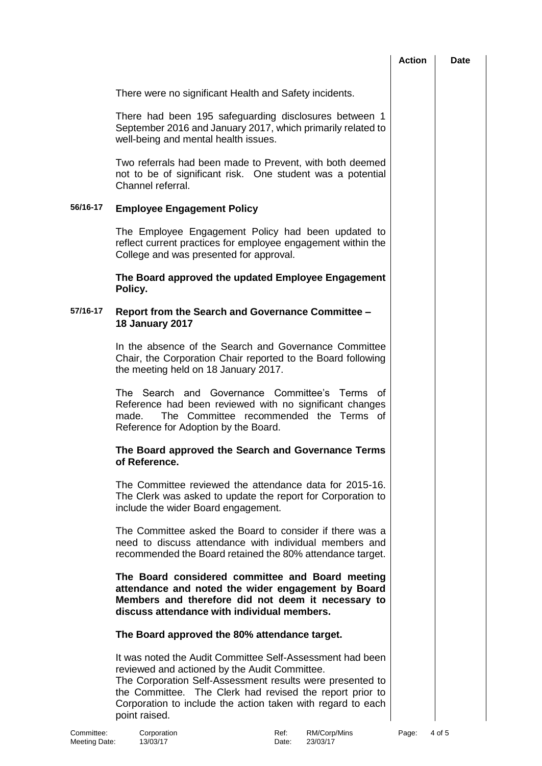|                             |                                                                                                                                                                                                                                                                                                                     | <b>Action</b> | <b>Date</b> |
|-----------------------------|---------------------------------------------------------------------------------------------------------------------------------------------------------------------------------------------------------------------------------------------------------------------------------------------------------------------|---------------|-------------|
|                             | There were no significant Health and Safety incidents.                                                                                                                                                                                                                                                              |               |             |
|                             | There had been 195 safeguarding disclosures between 1<br>September 2016 and January 2017, which primarily related to<br>well-being and mental health issues.                                                                                                                                                        |               |             |
|                             | Two referrals had been made to Prevent, with both deemed<br>not to be of significant risk. One student was a potential<br>Channel referral.                                                                                                                                                                         |               |             |
| 56/16-17                    | <b>Employee Engagement Policy</b>                                                                                                                                                                                                                                                                                   |               |             |
|                             | The Employee Engagement Policy had been updated to<br>reflect current practices for employee engagement within the<br>College and was presented for approval.                                                                                                                                                       |               |             |
|                             | The Board approved the updated Employee Engagement<br>Policy.                                                                                                                                                                                                                                                       |               |             |
| 57/16-17                    | Report from the Search and Governance Committee -<br><b>18 January 2017</b>                                                                                                                                                                                                                                         |               |             |
|                             | In the absence of the Search and Governance Committee<br>Chair, the Corporation Chair reported to the Board following<br>the meeting held on 18 January 2017.                                                                                                                                                       |               |             |
|                             | The Search and<br>Governance Committee's<br>Terms<br>of<br>Reference had been reviewed with no significant changes<br>The Committee recommended the Terms of<br>made.<br>Reference for Adoption by the Board.                                                                                                       |               |             |
|                             | The Board approved the Search and Governance Terms<br>of Reference.                                                                                                                                                                                                                                                 |               |             |
|                             | The Committee reviewed the attendance data for 2015-16.<br>The Clerk was asked to update the report for Corporation to<br>include the wider Board engagement.                                                                                                                                                       |               |             |
|                             | The Committee asked the Board to consider if there was a<br>need to discuss attendance with individual members and<br>recommended the Board retained the 80% attendance target.                                                                                                                                     |               |             |
|                             | The Board considered committee and Board meeting<br>attendance and noted the wider engagement by Board<br>Members and therefore did not deem it necessary to<br>discuss attendance with individual members.                                                                                                         |               |             |
|                             | The Board approved the 80% attendance target.                                                                                                                                                                                                                                                                       |               |             |
|                             | It was noted the Audit Committee Self-Assessment had been<br>reviewed and actioned by the Audit Committee.<br>The Corporation Self-Assessment results were presented to<br>the Committee. The Clerk had revised the report prior to<br>Corporation to include the action taken with regard to each<br>point raised. |               |             |
| Committee:<br>Meeting Date: | Corporation<br>RM/Corp/Mins<br>Ref:<br>13/03/17<br>23/03/17<br>Date:                                                                                                                                                                                                                                                | Page:         | 4 of 5      |